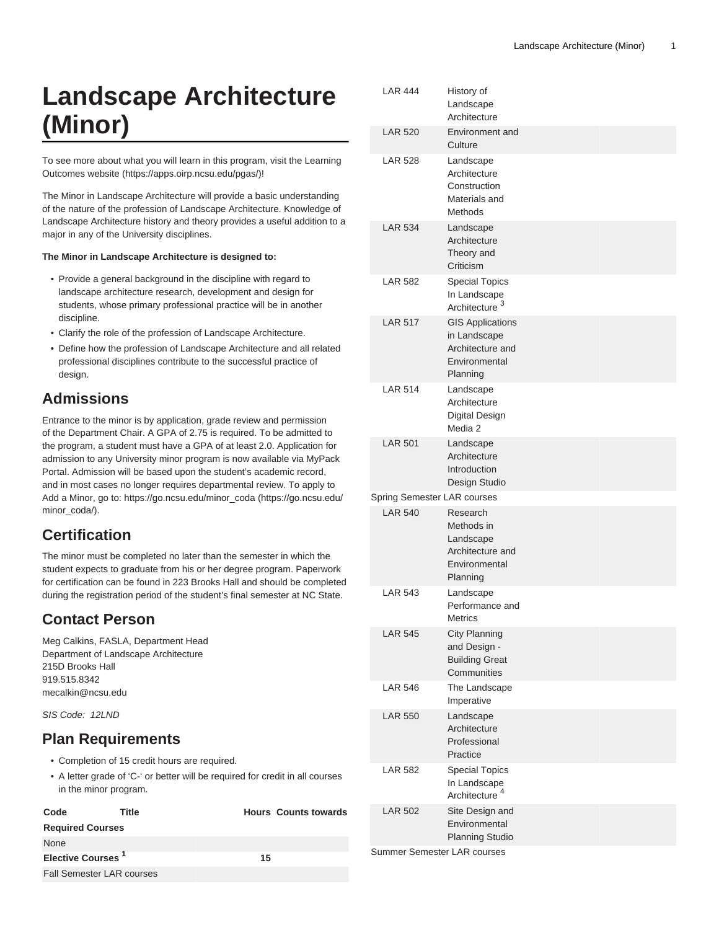# **Landscape Architecture (Minor)**

To see more about what you will learn in this program, visit the [Learning](https://apps.oirp.ncsu.edu/pgas/) [Outcomes website](https://apps.oirp.ncsu.edu/pgas/) (<https://apps.oirp.ncsu.edu/pgas/>)!

The Minor in Landscape Architecture will provide a basic understanding of the nature of the profession of Landscape Architecture. Knowledge of Landscape Architecture history and theory provides a useful addition to a major in any of the University disciplines.

#### **The Minor in Landscape Architecture is designed to:**

- Provide a general background in the discipline with regard to landscape architecture research, development and design for students, whose primary professional practice will be in another discipline.
- Clarify the role of the profession of Landscape Architecture.
- Define how the profession of Landscape Architecture and all related professional disciplines contribute to the successful practice of design.

### **Admissions**

Entrance to the minor is by application, grade review and permission of the Department Chair. A GPA of 2.75 is required. To be admitted to the program, a student must have a GPA of at least 2.0. Application for admission to any University minor program is now available via MyPack Portal. Admission will be based upon the student's academic record, and in most cases no longer requires departmental review. To apply to Add a Minor, go to: [https://go.ncsu.edu/minor\\_coda](https://go.ncsu.edu/minor_coda/) [\(https://go.ncsu.edu/](https://go.ncsu.edu/minor_coda/) [minor\\_coda/](https://go.ncsu.edu/minor_coda/)).

### **Certification**

The minor must be completed no later than the semester in which the student expects to graduate from his or her degree program. Paperwork for certification can be found in 223 Brooks Hall and should be completed during the registration period of the student's final semester at NC State.

### **Contact Person**

Meg Calkins, FASLA, Department Head Department of Landscape Architecture 215D Brooks Hall 919.515.8342 [mecalkin@ncsu.edu](mailto:mecalkin@ncsu.edu)

SIS Code: 12LND

## **Plan Requirements**

- Completion of 15 credit hours are required.
- A letter grade of 'C-' or better will be required for credit in all courses in the minor program.

| Code                             | Title |    | <b>Hours Counts towards</b> |
|----------------------------------|-------|----|-----------------------------|
| <b>Required Courses</b>          |       |    |                             |
| None                             |       |    |                             |
| Elective Courses <sup>1</sup>    |       | 15 |                             |
| <b>Fall Semester LAR courses</b> |       |    |                             |

| <b>LAR 444</b>                     | History of<br>Landscape<br>Architecture                                                  |  |  |  |
|------------------------------------|------------------------------------------------------------------------------------------|--|--|--|
| <b>LAR 520</b>                     | Environment and<br>Culture                                                               |  |  |  |
| <b>LAR 528</b>                     | Landscape<br>Architecture<br>Construction<br>Materials and<br>Methods                    |  |  |  |
| <b>LAR 534</b>                     | Landscape<br>Architecture<br>Theory and<br>Criticism                                     |  |  |  |
| <b>LAR 582</b>                     | <b>Special Topics</b><br>In Landscape<br>Architecture <sup>3</sup>                       |  |  |  |
| <b>LAR 517</b>                     | <b>GIS Applications</b><br>in Landscape<br>Architecture and<br>Environmental<br>Planning |  |  |  |
| <b>LAR 514</b>                     | Landscape<br>Architecture<br>Digital Design<br>Media 2                                   |  |  |  |
| <b>LAR 501</b>                     | Landscape<br>Architecture<br>Introduction<br>Design Studio                               |  |  |  |
| Spring Semester LAR courses        |                                                                                          |  |  |  |
| <b>LAR 540</b>                     | Research<br>Methods in<br>Landscape<br>Architecture and<br>Environmental<br>Planning     |  |  |  |
| <b>LAR 543</b>                     | Landscape<br>Performance and<br><b>Metrics</b>                                           |  |  |  |
| <b>LAR 545</b>                     | <b>City Planning</b><br>and Design -<br><b>Building Great</b><br>Communities             |  |  |  |
| <b>LAR 546</b>                     | The Landscape<br>Imperative                                                              |  |  |  |
| <b>LAR 550</b>                     | Landscape<br>Architecture<br>Professional<br>Practice                                    |  |  |  |
| <b>LAR 582</b>                     | <b>Special Topics</b><br>In Landscape<br>Architecture <sup>4</sup>                       |  |  |  |
| <b>LAR 502</b>                     | Site Design and<br>Environmental<br><b>Planning Studio</b>                               |  |  |  |
| <b>Summer Semester LAR courses</b> |                                                                                          |  |  |  |